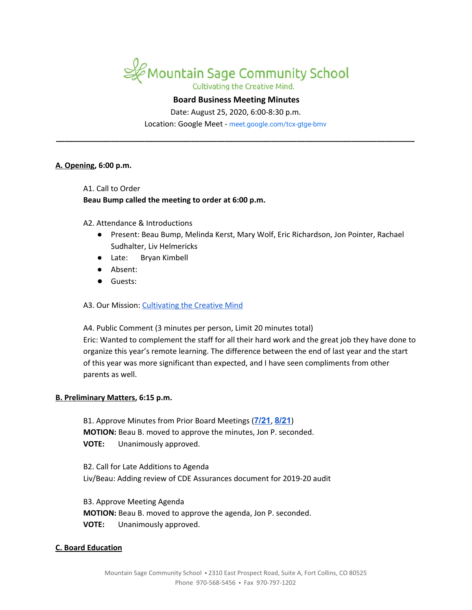

## **Board Business Meeting Minutes**

Date: August 25, 2020, 6:00-8:30 p.m.

Location: Google Meet - [meet.google.com/tcx-gtge-bmv](https://meet.google.com/tcx-gtge-bmv?hs=122&authuser=2) **\_\_\_\_\_\_\_\_\_\_\_\_\_\_\_\_\_\_\_\_\_\_\_\_\_\_\_\_\_\_\_\_\_\_\_\_\_\_\_\_\_\_\_\_\_\_\_\_\_\_\_\_\_\_\_\_\_\_\_\_\_\_\_\_\_\_\_\_\_\_\_\_\_\_\_\_\_\_\_\_\_\_\_\_\_**

#### **A. Opening, 6:00 p.m.**

A1. Call to Order

#### **Beau Bump called the meeting to order at 6:00 p.m.**

A2. Attendance & Introductions

- Present: Beau Bump, Melinda Kerst, Mary Wolf, Eric Richardson, Jon Pointer, Rachael Sudhalter, Liv Helmericks
- Late: Bryan Kimbell
- Absent:
- Guests:

A3. Our Mission: [Cultivating](https://www.mountainsage.org/about-us/mission-and-vision/) the Creative Mind

A4. Public Comment (3 minutes per person, Limit 20 minutes total) Eric: Wanted to complement the staff for all their hard work and the great job they have done to organize this year's remote learning. The difference between the end of last year and the start of this year was more significant than expected, and I have seen compliments from other parents as well.

### **B. Preliminary Matters, 6:15 p.m.**

B1. Approve Minutes from Prior Board Meetings (**[7/21](https://docs.google.com/document/d/1Z3G_5MAoRFWfZFpiGAtwJzgIOcYy3ueYOTUYmRsQyuc)**, **[8/21](https://docs.google.com/document/d/1c_a__piB01OKaYJnAsX-S1BeBcVoYalwr4JRvVROMm0)**) **MOTION:** Beau B. moved to approve the minutes, Jon P. seconded. **VOTE:** Unanimously approved.

B2. Call for Late Additions to Agenda Liv/Beau: Adding review of CDE Assurances document for 2019-20 audit

B3. Approve Meeting Agenda **MOTION:** Beau B. moved to approve the agenda, Jon P. seconded. **VOTE:** Unanimously approved.

### **C. Board Education**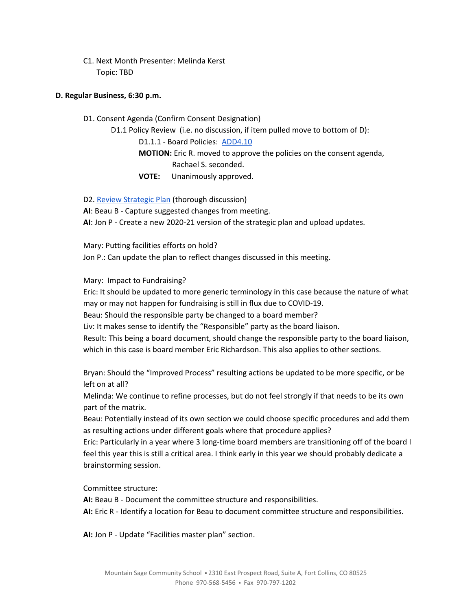C1. Next Month Presenter: Melinda Kerst Topic: TBD

## **D. Regular Business, 6:30 p.m.**

D1. Consent Agenda (Confirm Consent Designation)

D1.1 Policy Review (i.e. no discussion, if item pulled move to bottom of D):

D1.1.1 - Board Policies: [ADD4.10](https://docs.google.com/document/d/1V3xXA9nFS1VysNA0KFmEQ4u6WqqhQFkELG6kWdBkEkM)

**MOTION:** Eric R. moved to approve the policies on the consent agenda, Rachael S. seconded.

**VOTE:** Unanimously approved.

D2. Review [Strategic](https://drive.google.com/file/d/1bIEAL8S8NnDx9PPJRR79h1dLsXFMCh-t/view?usp=sharing) Plan (thorough discussion)

**AI**: Beau B - Capture suggested changes from meeting.

**AI**: Jon P - Create a new 2020-21 version of the strategic plan and upload updates.

Mary: Putting facilities efforts on hold?

Jon P.: Can update the plan to reflect changes discussed in this meeting.

Mary: Impact to Fundraising?

Eric: It should be updated to more generic terminology in this case because the nature of what may or may not happen for fundraising is still in flux due to COVID-19.

Beau: Should the responsible party be changed to a board member?

Liv: It makes sense to identify the "Responsible" party as the board liaison.

Result: This being a board document, should change the responsible party to the board liaison, which in this case is board member Eric Richardson. This also applies to other sections.

Bryan: Should the "Improved Process" resulting actions be updated to be more specific, or be left on at all?

Melinda: We continue to refine processes, but do not feel strongly if that needs to be its own part of the matrix.

Beau: Potentially instead of its own section we could choose specific procedures and add them as resulting actions under different goals where that procedure applies?

Eric: Particularly in a year where 3 long-time board members are transitioning off of the board I feel this year this is still a critical area. I think early in this year we should probably dedicate a brainstorming session.

Committee structure:

**AI:** Beau B - Document the committee structure and responsibilities.

**AI:** Eric R - Identify a location for Beau to document committee structure and responsibilities.

**AI:** Jon P - Update "Facilities master plan" section.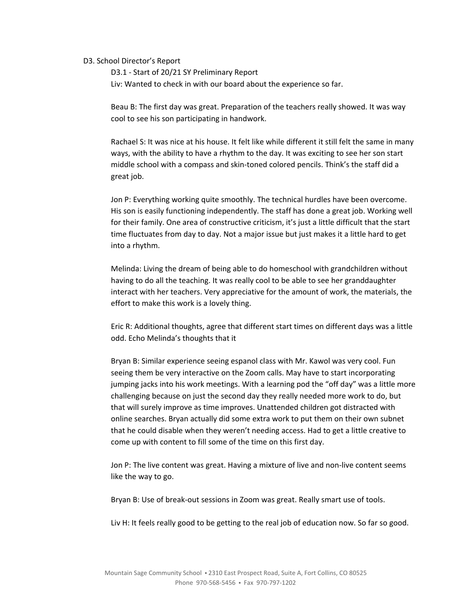### D3. School Director's Report

D3.1 - Start of 20/21 SY Preliminary Report Liv: Wanted to check in with our board about the experience so far.

Beau B: The first day was great. Preparation of the teachers really showed. It was way cool to see his son participating in handwork.

Rachael S: It was nice at his house. It felt like while different it still felt the same in many ways, with the ability to have a rhythm to the day. It was exciting to see her son start middle school with a compass and skin-toned colored pencils. Think's the staff did a great job.

Jon P: Everything working quite smoothly. The technical hurdles have been overcome. His son is easily functioning independently. The staff has done a great job. Working well for their family. One area of constructive criticism, it's just a little difficult that the start time fluctuates from day to day. Not a major issue but just makes it a little hard to get into a rhythm.

Melinda: Living the dream of being able to do homeschool with grandchildren without having to do all the teaching. It was really cool to be able to see her granddaughter interact with her teachers. Very appreciative for the amount of work, the materials, the effort to make this work is a lovely thing.

Eric R: Additional thoughts, agree that different start times on different days was a little odd. Echo Melinda's thoughts that it

Bryan B: Similar experience seeing espanol class with Mr. Kawol was very cool. Fun seeing them be very interactive on the Zoom calls. May have to start incorporating jumping jacks into his work meetings. With a learning pod the "off day" was a little more challenging because on just the second day they really needed more work to do, but that will surely improve as time improves. Unattended children got distracted with online searches. Bryan actually did some extra work to put them on their own subnet that he could disable when they weren't needing access. Had to get a little creative to come up with content to fill some of the time on this first day.

Jon P: The live content was great. Having a mixture of live and non-live content seems like the way to go.

Bryan B: Use of break-out sessions in Zoom was great. Really smart use of tools.

Liv H: It feels really good to be getting to the real job of education now. So far so good.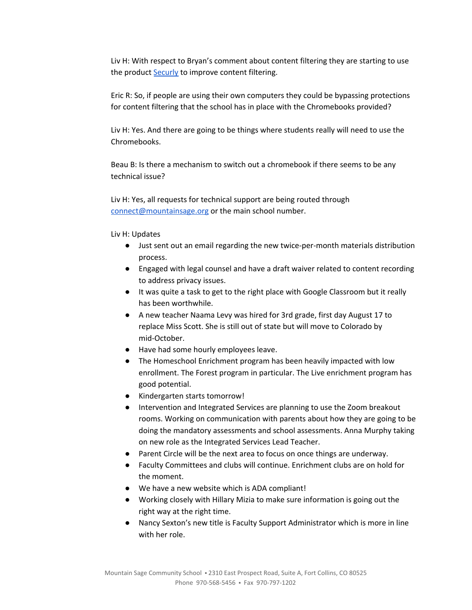Liv H: With respect to Bryan's comment about content filtering they are starting to use the product **[Securly](https://www.securly.com/)** to improve content filtering.

Eric R: So, if people are using their own computers they could be bypassing protections for content filtering that the school has in place with the Chromebooks provided?

Liv H: Yes. And there are going to be things where students really will need to use the Chromebooks.

Beau B: Is there a mechanism to switch out a chromebook if there seems to be any technical issue?

Liv H: Yes, all requests for technical support are being routed through [connect@mountainsage.org](mailto:connect@mountainsage.org) or the main school number.

Liv H: Updates

- Just sent out an email regarding the new twice-per-month materials distribution process.
- Engaged with legal counsel and have a draft waiver related to content recording to address privacy issues.
- It was quite a task to get to the right place with Google Classroom but it really has been worthwhile.
- A new teacher Naama Levy was hired for 3rd grade, first day August 17 to replace Miss Scott. She is still out of state but will move to Colorado by mid-October.
- Have had some hourly employees leave.
- The Homeschool Enrichment program has been heavily impacted with low enrollment. The Forest program in particular. The Live enrichment program has good potential.
- Kindergarten starts tomorrow!
- Intervention and Integrated Services are planning to use the Zoom breakout rooms. Working on communication with parents about how they are going to be doing the mandatory assessments and school assessments. Anna Murphy taking on new role as the Integrated Services Lead Teacher.
- Parent Circle will be the next area to focus on once things are underway.
- Faculty Committees and clubs will continue. Enrichment clubs are on hold for the moment.
- We have a new website which is ADA compliant!
- Working closely with Hillary Mizia to make sure information is going out the right way at the right time.
- Nancy Sexton's new title is Faculty Support Administrator which is more in line with her role.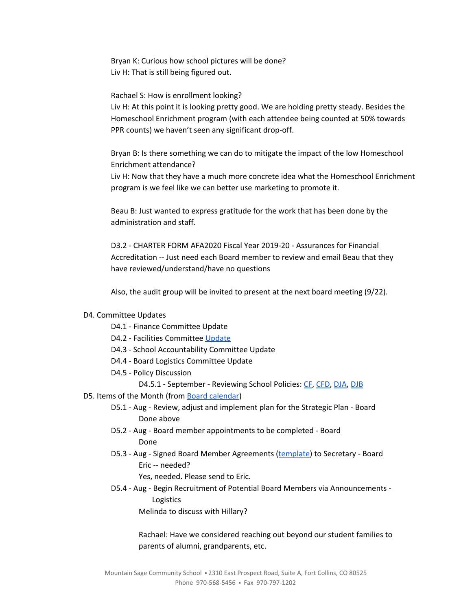Bryan K: Curious how school pictures will be done? Liv H: That is still being figured out.

Rachael S: How is enrollment looking?

Liv H: At this point it is looking pretty good. We are holding pretty steady. Besides the Homeschool Enrichment program (with each attendee being counted at 50% towards PPR counts) we haven't seen any significant drop-off.

Bryan B: Is there something we can do to mitigate the impact of the low Homeschool Enrichment attendance?

Liv H: Now that they have a much more concrete idea what the Homeschool Enrichment program is we feel like we can better use marketing to promote it.

Beau B: Just wanted to express gratitude for the work that has been done by the administration and staff.

D3.2 - CHARTER FORM AFA2020 Fiscal Year 2019-20 - Assurances for Financial Accreditation -- Just need each Board member to review and email Beau that they have reviewed/understand/have no questions

Also, the audit group will be invited to present at the next board meeting (9/22).

### D4. Committee Updates

- D4.1 Finance Committee Update
- D4.2 Facilities Committee [Update](https://docs.google.com/document/d/1DlwFdowe4j23JcKTlRKnP-JlV_-hENN-A4yHOrtyekQ/edit)
- D4.3 School Accountability Committee Update
- D4.4 Board Logistics Committee Update
- D4.5 Policy Discussion
	- D4.5.1 September Reviewing School Policies: [CF](https://drive.google.com/open?id=1Xxv2T6bQArqSfjBd4NWvmduf7cER1CPDxfaR-UgM4ik), [CFD,](https://drive.google.com/open?id=1pmw9tX3WnFFmGuxgkjZ-Bmnv9B-qH_WDH1cjkRhDlqc) [DJA,](https://drive.google.com/open?id=1oNPkij6QxnnLRpaLnsPPV7DWoyXqQcGe_oM_2CjkPSg) [DJB](https://drive.google.com/open?id=11I7KnqlJ6R5EJmYRfi3xjFpkdvCUzZPihKCKHFzdwsg)
- D5. Items of the Month (from Board [calendar](https://docs.google.com/document/d/12S6s-qevYMsnj8Cr2yw6uMO7S7hL3gz2oKvXZk5ZndQ/edit?usp=sharing))
	- D5.1 Aug Review, adjust and implement plan for the Strategic Plan Board Done above
	- D5.2 Aug Board member appointments to be completed Board Done
	- D5.3 Aug Signed Board Member Agreements ([template](https://docs.google.com/document/d/1f6elj5bnQttIrJOPn2ZzBBbBHHvJk2Kn3kGwIwJ7uYs)) to Secretary Board Eric -- needed?
		- Yes, needed. Please send to Eric.
	- D5.4 Aug Begin Recruitment of Potential Board Members via Announcements Logistics

Melinda to discuss with Hillary?

Rachael: Have we considered reaching out beyond our student families to parents of alumni, grandparents, etc.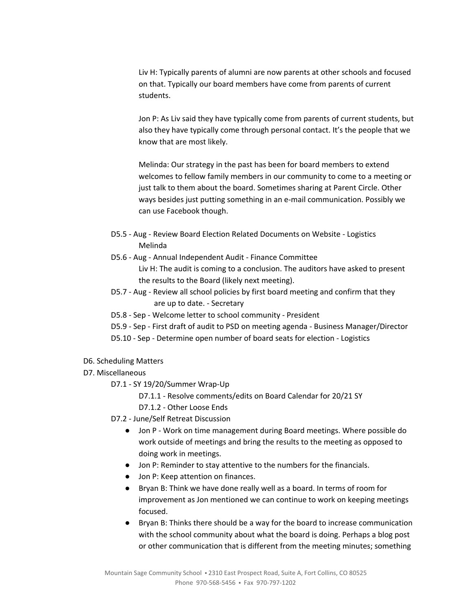Liv H: Typically parents of alumni are now parents at other schools and focused on that. Typically our board members have come from parents of current students.

Jon P: As Liv said they have typically come from parents of current students, but also they have typically come through personal contact. It's the people that we know that are most likely.

Melinda: Our strategy in the past has been for board members to extend welcomes to fellow family members in our community to come to a meeting or just talk to them about the board. Sometimes sharing at Parent Circle. Other ways besides just putting something in an e-mail communication. Possibly we can use Facebook though.

- D5.5 Aug Review Board Election Related Documents on Website Logistics Melinda
- D5.6 Aug Annual Independent Audit Finance Committee Liv H: The audit is coming to a conclusion. The auditors have asked to present the results to the Board (likely next meeting).
- D5.7 Aug Review all school policies by first board meeting and confirm that they are up to date. - Secretary
- D5.8 Sep Welcome letter to school community President
- D5.9 Sep First draft of audit to PSD on meeting agenda Business Manager/Director
- D5.10 Sep Determine open number of board seats for election Logistics
- D6. Scheduling Matters
- D7. Miscellaneous
	- D7.1 SY 19/20/Summer Wrap-Up
		- D7.1.1 Resolve comments/edits on Board Calendar for 20/21 SY
		- D7.1.2 Other Loose Ends
	- D7.2 June/Self Retreat Discussion
		- Jon P Work on time management during Board meetings. Where possible do work outside of meetings and bring the results to the meeting as opposed to doing work in meetings.
		- Jon P: Reminder to stay attentive to the numbers for the financials.
		- Jon P: Keep attention on finances.
		- Bryan B: Think we have done really well as a board. In terms of room for improvement as Jon mentioned we can continue to work on keeping meetings focused.
		- Bryan B: Thinks there should be a way for the board to increase communication with the school community about what the board is doing. Perhaps a blog post or other communication that is different from the meeting minutes; something